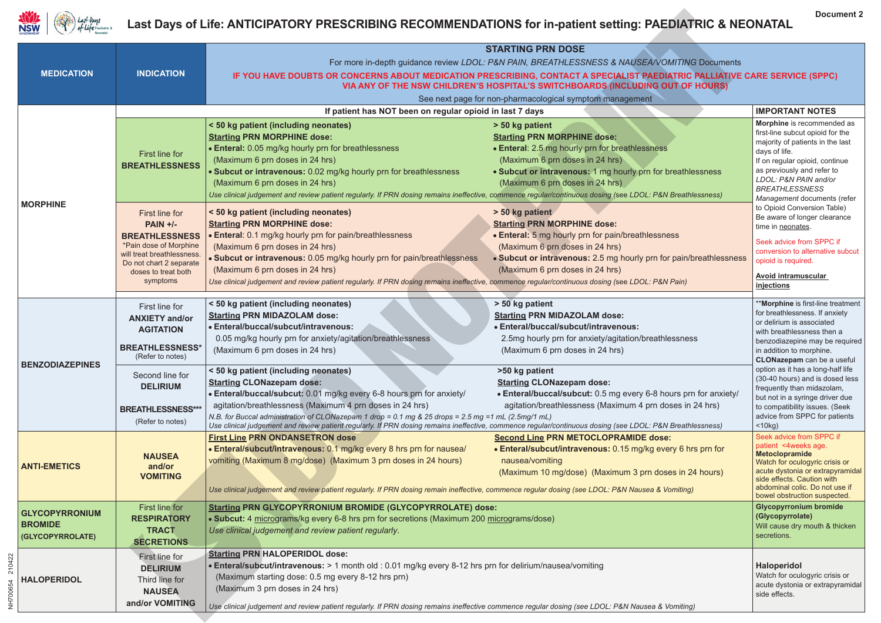

## **Last Days of Life: ANTICIPATORY PRESCRIBING RECOMMENDATIONS for in-patient setting: PAEDIATRIC & NEONATAL Last Days of Life: ANTICIPATORY PRESCRIBING RECOMMENDATIONS Paediatric & for in-patient setting: PAEDIATRIC AND NEONATAL**

| Last Days<br><b>NSW</b>                                     |                                                                                                                                                                            | Last Days of Life: ANTICIPATORY PRESCRIBING RECOMMENDATIONS for in-patient setting: PAEDIATRIC & NEONATAL                                                                                                                                                                                                                                                                                                                                                                        |                                                                                                                                                                                                                                                         | <b>Document 2</b>                                                                                                                                                                                                                                                    |
|-------------------------------------------------------------|----------------------------------------------------------------------------------------------------------------------------------------------------------------------------|----------------------------------------------------------------------------------------------------------------------------------------------------------------------------------------------------------------------------------------------------------------------------------------------------------------------------------------------------------------------------------------------------------------------------------------------------------------------------------|---------------------------------------------------------------------------------------------------------------------------------------------------------------------------------------------------------------------------------------------------------|----------------------------------------------------------------------------------------------------------------------------------------------------------------------------------------------------------------------------------------------------------------------|
|                                                             |                                                                                                                                                                            |                                                                                                                                                                                                                                                                                                                                                                                                                                                                                  | <b>STARTING PRN DOSE</b>                                                                                                                                                                                                                                |                                                                                                                                                                                                                                                                      |
|                                                             |                                                                                                                                                                            | For more in-depth guidance review LDOL: P&N PAIN, BREATHLESSNESS & NAUSEA/VOMITING Documents                                                                                                                                                                                                                                                                                                                                                                                     |                                                                                                                                                                                                                                                         |                                                                                                                                                                                                                                                                      |
| <b>MEDICATION</b>                                           | <b>INDICATION</b>                                                                                                                                                          | IF YOU HAVE DOUBTS OR CONCERNS ABOUT MEDICATION PRESCRIBING, CONTACT A SPECIALIST PAEDIATRIC PALLIATIVE CARE SERVICE (SPPC)<br>VIA ANY OF THE NSW CHILDREN'S HOSPITAL'S SWITCHBOARDS (INCLUDING OUT OF HOURS)                                                                                                                                                                                                                                                                    |                                                                                                                                                                                                                                                         |                                                                                                                                                                                                                                                                      |
|                                                             |                                                                                                                                                                            | See next page for non-pharmacological symptom management                                                                                                                                                                                                                                                                                                                                                                                                                         |                                                                                                                                                                                                                                                         |                                                                                                                                                                                                                                                                      |
| <b>MORPHINE</b>                                             | If patient has NOT been on regular opioid in last 7 days                                                                                                                   |                                                                                                                                                                                                                                                                                                                                                                                                                                                                                  |                                                                                                                                                                                                                                                         | <b>IMPORTANT NOTES</b>                                                                                                                                                                                                                                               |
|                                                             | First line for<br><b>BREATHLESSNESS</b>                                                                                                                                    | < 50 kg patient (including neonates)<br><b>Starting PRN MORPHINE dose:</b><br>• Enteral: 0.05 mg/kg hourly prn for breathlessness<br>(Maximum 6 prn doses in 24 hrs)<br>. Subcut or intravenous: 0.02 mg/kg hourly prn for breathlessness<br>(Maximum 6 prn doses in 24 hrs)<br>Use clinical judgement and review patient regularly. If PRN dosing remains ineffective, commence regular/continuous dosing (see LDOL: P&N Breathlessness)                                        | > 50 kg patient<br><b>Starting PRN MORPHINE dose:</b><br>• Enteral: 2.5 mg hourly prn for breathlessness<br>(Maximum 6 prn doses in 24 hrs)<br>• Subcut or intravenous: 1 mg hourly prn for breathlessness<br>(Maximum 6 prn doses in 24 hrs)           | Morphine is recommended as<br>first-line subcut opioid for the<br>majority of patients in the last<br>days of life.<br>If on regular opioid, continue<br>as previously and refer to<br>LDOL: P&N PAIN and/or<br><b>BREATHLESSNESS</b><br>Management documents (refer |
|                                                             | First line for<br>$PAIN +/-$<br><b>BREATHLESSNESS</b><br>*Pain dose of Morphine<br>will treat breathlessness<br>Do not chart 2 separate<br>doses to treat both<br>symptoms | <50 kg patient (including neonates)<br><b>Starting PRN MORPHINE dose:</b><br>• Enteral: 0.1 mg/kg hourly prn for pain/breathlessness<br>(Maximum 6 prn doses in 24 hrs)<br>· Subcut or intravenous: 0.05 mg/kg hourly prn for pain/breathlessness<br>(Maximum 6 prn doses in 24 hrs)<br>Use clinical judgement and review patient regularly. If PRN dosing remains ineffective, commence regular/continuous dosing (see LDOL: P&N Pain)                                          | > 50 kg patient<br><b>Starting PRN MORPHINE dose:</b><br>• Enteral: 5 mg hourly prn for pain/breathlessness<br>(Maximum 6 prn doses in 24 hrs)<br>• Subcut or intravenous: 2.5 mg hourly prn for pain/breathlessness<br>(Maximum 6 prn doses in 24 hrs) | to Opioid Conversion Table)<br>Be aware of longer clearance<br>time in neonates.<br>Seek advice from SPPC if<br>conversion to alternative subcut<br>opioid is required.<br><b>Avoid intramuscular</b><br>injections                                                  |
| <b>BENZODIAZEPINES</b>                                      | First line for<br><b>ANXIETY and/or</b><br><b>AGITATION</b><br><b>BREATHLESSNESS*</b><br>(Refer to notes)                                                                  | <50 kg patient (including neonates)<br><b>Starting PRN MIDAZOLAM dose:</b><br>• Enteral/buccal/subcut/intravenous:<br>0.05 mg/kg hourly prn for anxiety/agitation/breathlessness<br>(Maximum 6 prn doses in 24 hrs)                                                                                                                                                                                                                                                              | > 50 kg patient<br><b>Starting PRN MIDAZOLAM dose:</b><br>· Enteral/buccal/subcut/intravenous:<br>2.5mg hourly prn for anxiety/agitation/breathlessness<br>(Maximum 6 prn doses in 24 hrs)                                                              | * <b>Morphine</b> is first-line treatment<br>for breathlessness. If anxiety<br>or delirium is associated<br>with breathlessness then a<br>benzodiazepine may be required<br>in addition to morphine.<br>CLONazepam can be a useful                                   |
|                                                             | Second line for<br><b>DELIRIUM</b><br><b>BREATHLESSNESS***</b><br>(Refer to notes)                                                                                         | < 50 kg patient (including neonates)<br><b>Starting CLONazepam dose:</b><br>• Enteral/buccal/subcut: 0.01 mg/kg every 6-8 hours prn for anxiety/<br>agitation/breathlessness (Maximum 4 prn doses in 24 hrs)<br>N.B. for Buccal administration of CLONazepam 1 drop = 0.1 mg & 25 drops = 2.5 mg =1 mL (2.5mg/1 mL)<br>Use clinical judgement and review patient regularly. If PRN dosing remains ineffective, commence regular/continuous dosing (see LDOL: P&N Breathlessness) | >50 kg patient<br><b>Starting CLONazepam dose:</b><br>• Enteral/buccal/subcut: 0.5 mg every 6-8 hours prn for anxiety/<br>agitation/breathlessness (Maximum 4 prn doses in 24 hrs)                                                                      | option as it has a long-half life<br>(30-40 hours) and is dosed less<br>frequently than midazolam,<br>but not in a syringe driver due<br>to compatibility issues. (Seek<br>advice from SPPC for patients<br>$<$ 10 $kg$ )                                            |
| <b>ANTI-EMETICS</b>                                         | <b>NAUSEA</b><br>and/or<br><b>VOMITING</b>                                                                                                                                 | <b>First Line PRN ONDANSETRON dose</b><br>• Enteral/subcut/intravenous: 0.1 mg/kg every 8 hrs prn for nausea/<br>vomiting (Maximum 8 mg/dose) (Maximum 3 prn doses in 24 hours)<br>Use clinical judgement and review patient regularly. If PRN dosing remain ineffective, commence regular dosing (see LDOL: P&N Nausea & Vomiting)                                                                                                                                              | <b>Second Line PRN METOCLOPRAMIDE dose:</b><br>• Enteral/subcut/intravenous: 0.15 mg/kg every 6 hrs prn for<br>nausea/vomiting<br>(Maximum 10 mg/dose) (Maximum 3 prn doses in 24 hours)                                                                | Seek advice from SPPC if<br>patient <4weeks age.<br><b>Metoclopramide</b><br>Watch for oculogyric crisis or<br>acute dystonia or extrapyramidal<br>side effects. Caution with<br>abdominal colic. Do not use if<br>bowel obstruction suspected.                      |
| <b>GLYCOPYRRONIUM</b><br><b>BROMIDE</b><br>(GLYCOPYRROLATE) | First line for<br><b>RESPIRATORY</b><br><b>TRACT</b><br><b>SECRETIONS</b>                                                                                                  | <b>Starting PRN GLYCOPYRRONIUM BROMIDE (GLYCOPYRROLATE) dose:</b><br>• Subcut: 4 micrograms/kg every 6-8 hrs prn for secretions (Maximum 200 micrograms/dose)<br>Use clinical judgement and review patient regularly.                                                                                                                                                                                                                                                            |                                                                                                                                                                                                                                                         | <b>Glycopyrronium bromide</b><br>(Glycopyrrolate)<br>Will cause dry mouth & thicken<br>secretions.                                                                                                                                                                   |
| 210422<br><b>HALOPERIDOL</b><br>NH700654                    | First line for<br><b>DELIRIUM</b><br>Third line for<br><b>NAUSEA</b><br>and/or VOMITING                                                                                    | <b>Starting PRN HALOPERIDOL dose:</b><br>. Enteral/subcut/intravenous: > 1 month old : 0.01 mg/kg every 8-12 hrs prn for delirium/nausea/vomiting<br>(Maximum starting dose: 0.5 mg every 8-12 hrs prn)<br>(Maximum 3 prn doses in 24 hrs)<br>Use clinical judgement and review patient regularly. If PRN dosing remains ineffective commence regular dosing (see LDOL: P&N Nausea & Vomiting)                                                                                   |                                                                                                                                                                                                                                                         | Haloperidol<br>Watch for oculogyric crisis or<br>acute dystonia or extrapyramidal<br>side effects.                                                                                                                                                                   |